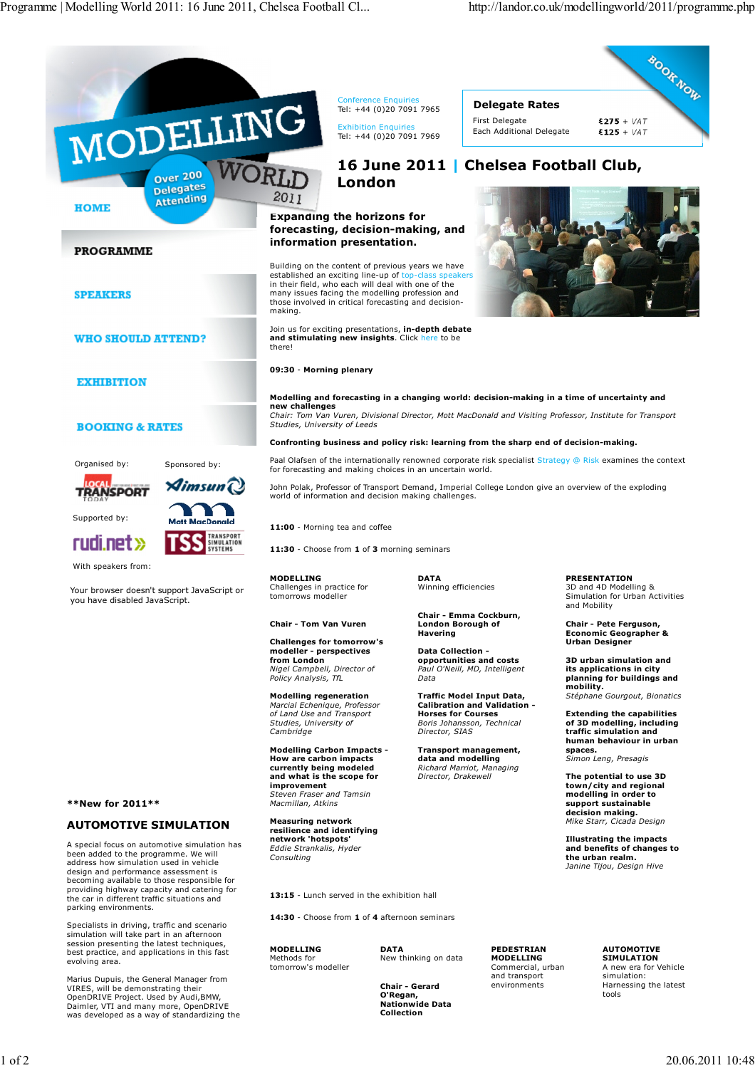**BOOK NOW** 



**13:15** - Lunch served in the exhibition hall

**14:30** - Choose from **1** of **4** afternoon seminars

**MODELLING** Methods for tomorrow's modeller

**DATA** New thinking on data

**PEDESTRIAN MODELLING** Commercial, urban and transport environments

**Nationwide Data Collection**

**Modelling and forecasting in a changing world: decision-making in a time of uncertainty and**

*Chair: Tom Van Vuren, Divisional Director, Mott MacDonald and Visiting Professor, Institute for Transport Studies, University of Leeds*

**Confronting business and policy risk: learning from the sharp end of decision-making.**

Paal Olafsen of the internationally renowned corporate risk specialist Strategy @ Risk examines the context

John Polak, Professor of Transport Demand, Imperial College London give an overview of the exploding

*Consulting*

**Chair - Gerard O'Regan,**

**PRESENTATION** 3D and 4D Modelling & Simulation for Urban Activities and Mobility

**Chair - Pete Ferguson, Economic Geographer & Urban Designer**

**3D urban simulation and its applications in city planning for buildings and mobility.** *Stéphane Gourgout, Bionatics*

**Extending the capabilities of 3D modelling, including traffic simulation and human behaviour in urban spaces.**

*Simon Leng, Presagis*

**The potential to use 3D town/city and regional modelling in order to support sustainable decision making.** *Mike Starr, Cicada Design*

**Illustrating the impacts and benefits of changes to the urban realm.** *Janine Tijou, Design Hive*

> **AUTOMOTIVE SIMULATION** A new era for Vehicle simulation: Harnessing the latest tools

design and performance assessment is becoming available to those responsible for providing highway capacity and catering for the car in different traffic situations and

Specialists in driving, traffic and scenario simulation will take part in an afternoon session presenting the latest techniques, best practice, and applications in this fast

Marius Dupuis, the General Manager from VIRES, will be demonstrating their OpenDRIVE Project. Used by Audi,BMW, Daimler, VTI and many more, OpenDRIVE was developed as a way of standardizing the

parking environments.

Supported by:

**HOME** 

**SPEAKERS** 

evolving area.